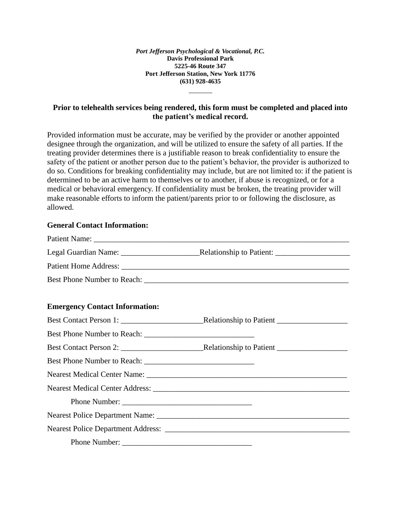### **Prior to telehealth services being rendered, this form must be completed and placed into the patient's medical record.**

Provided information must be accurate, may be verified by the provider or another appointed designee through the organization, and will be utilized to ensure the safety of all parties. If the treating provider determines there is a justifiable reason to break confidentiality to ensure the safety of the patient or another person due to the patient's behavior, the provider is authorized to do so. Conditions for breaking confidentiality may include, but are not limited to: if the patient is determined to be an active harm to themselves or to another, if abuse is recognized, or for a medical or behavioral emergency. If confidentiality must be broken, the treating provider will make reasonable efforts to inform the patient/parents prior to or following the disclosure, as allowed.

#### **General Contact Information:**

| <b>Emergency Contact Information:</b> |  |
|---------------------------------------|--|
|                                       |  |
|                                       |  |
|                                       |  |
|                                       |  |
|                                       |  |
|                                       |  |
|                                       |  |
|                                       |  |
|                                       |  |
|                                       |  |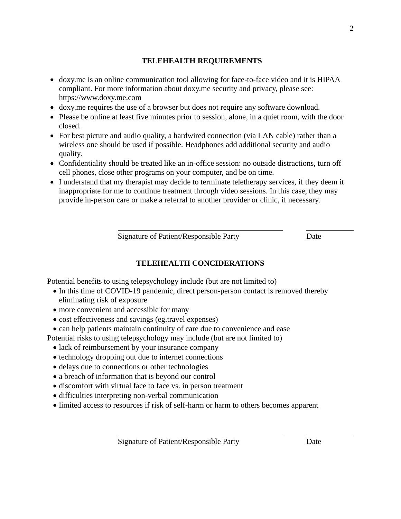### **TELEHEALTH REQUIREMENTS**

- doxy.me is an online communication tool allowing for face-to-face video and it is HIPAA compliant. For more information about doxy.me security and privacy, please see: https://www.doxy.me.com
- doxy.me requires the use of a browser but does not require any software download.
- Please be online at least five minutes prior to session, alone, in a quiet room, with the door closed.
- For best picture and audio quality, a hardwired connection (via LAN cable) rather than a wireless one should be used if possible. Headphones add additional security and audio quality.
- Confidentiality should be treated like an in-office session: no outside distractions, turn off cell phones, close other programs on your computer, and be on time.
- I understand that my therapist may decide to terminate teletherapy services, if they deem it inappropriate for me to continue treatment through video sessions. In this case, they may provide in-person care or make a referral to another provider or clinic, if necessary.

Signature of Patient/Responsible Party Date

## **TELEHEALTH CONCIDERATIONS**

Potential benefits to using telepsychology include (but are not limited to)

- In this time of COVID-19 pandemic, direct person-person contact is removed thereby eliminating risk of exposure
- more convenient and accessible for many
- cost effectiveness and savings (eg.travel expenses)
- can help patients maintain continuity of care due to convenience and ease

Potential risks to using telepsychology may include (but are not limited to)

- lack of reimbursement by your insurance company
- technology dropping out due to internet connections
- delays due to connections or other technologies
- a breach of information that is beyond our control
- discomfort with virtual face to face vs. in person treatment
- difficulties interpreting non-verbal communication
- limited access to resources if risk of self-harm or harm to others becomes apparent

Signature of Patient/Responsible Party Date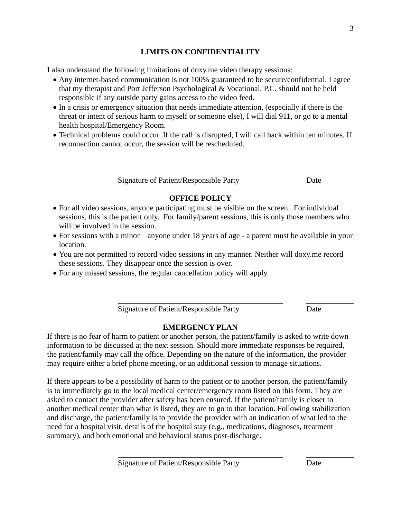## **LIMITS ON CONFIDENTIALITY**

I also understand the following limitations of doxy.me video therapy sessions:

- Any internet-based communication is not 100% guaranteed to be secure/confidential. I agree that my therapist and Port Jefferson Psychological & Vocational, P.C. should not be held responsible if any outside party gains access to the video feed.
- In a crisis or emergency situation that needs immediate attention, (especially if there is the threat or intent of serious harm to myself or someone else), I will dial 911, or go to a mental health hospital/Emergency Room.
- Technical problems could occur. If the call is disrupted, I will call back within ten minutes. If reconnection cannot occur, the session will be rescheduled.

Signature of Patient/Responsible Party Date

# **OFFICE POLICY**

- For all video sessions, anyone participating must be visible on the screen. For individual sessions, this is the patient only. For family/parent sessions, this is only those members who will be involved in the session.
- For sessions with a minor anyone under 18 years of age a parent must be available in your location.
- You are not permitted to record video sessions in any manner. Neither will doxy.me record these sessions. They disappear once the session is over.
- For any missed sessions, the regular cancellation policy will apply.

Signature of Patient/Responsible Party Date

## **EMERGENCY PLAN**

If there is no fear of harm to patient or another person, the patient/family is asked to write down information to be discussed at the next session. Should more immediate responses be required, the patient/family may call the office. Depending on the nature of the information, the provider may require either a brief phone meeting, or an additional session to manage situations.

If there appears to be a possibility of harm to the patient or to another person, the patient/family is to immediately go to the local medical center/emergency room listed on this form. They are asked to contact the provider after safety has been ensured. If the patient/family is closer to another medical center than what is listed, they are to go to that location. Following stabilization and discharge, the patient/family is to provide the provider with an indication of what led to the need for a hospital visit, details of the hospital stay (e.g., medications, diagnoses, treatment summary), and both emotional and behavioral status post-discharge.